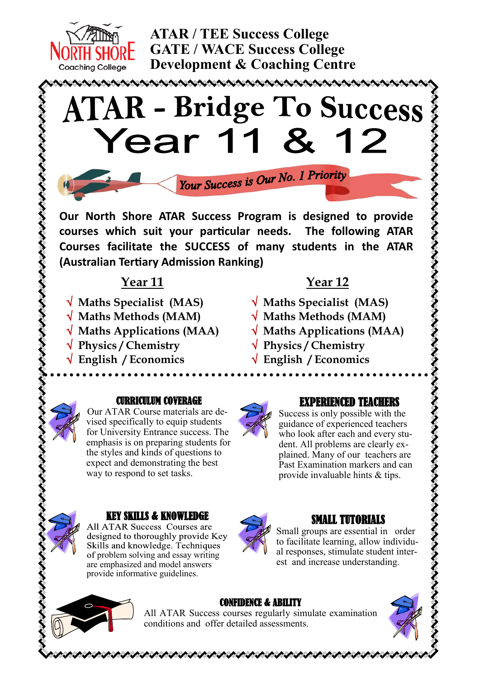

**ATAR / TEE Success College GATE / WACE Success College Development & Coaching Centre**

# **ATAR - Bridge To Success** Year 1 12

Your Success is Our No. 1 Priority

**Our North Shore ATAR Success Program is designed to provide courses which suit your particular needs. The following ATAR Courses facilitate the SUCCESS of many students in the ATAR (Australian Tertiary Admission Ranking)**

# **Year 11**

- **Maths Specialist (MAS)**
- **Maths Methods (MAM)**
- **Maths Applications (MAA)**
- **Physics / Chemistry**
- **English / Economics**

## **Year 12**

- **Maths Specialist (MAS)**
- **Maths Methods (MAM)**
- **Maths Applications (MAA)**
- **Physics / Chemistry**
- **English / Economics**



#### CURRICULUM COVERAGE

Our ATAR Course materials are devised specifically to equip students for University Entrance success. The emphasis is on preparing students for the styles and kinds of questions to expect and demonstrating the best way to respond to set tasks.



### KEY SKILLS & KNOWLEDGE

All ATAR Success Courses are designed to thoroughly provide Key Skills and knowledge. Techniques of problem solving and essay writing are emphasized and model answers provide informative guidelines.



### EXPERIENCED TEACHERS

Success is only possible with the guidance of experienced teachers who look after each and every student. All problems are clearly explained. Many of our teachers are Past Examination markers and can provide invaluable hints & tips.



### SMALL TUTORIALS

Small groups are essential in order to facilitate learning, allow individual responses, stimulate student interest and increase understanding.



いくうい

#### CONFIDENCE & ABILITY

All ATAR Success courses regularly simulate examination conditions and offer detailed assessments.



こくとくとくとくとくとくとくとくとくとくとくとくとくとくとくとくとくとくとくくく